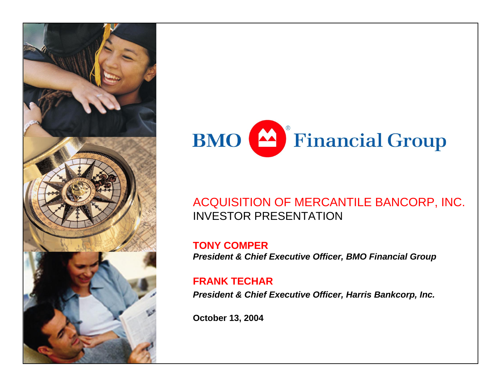



## ACQUISITION OF MERCANTILE BANCORP, INC. INVESTOR PRESENTATION

**TONY COMPER***President & Chief Executive Officer, BMO Financial Group*

#### **FRANK TECHAR**

*President & Chief Executive Officer, Harris Bankcorp, Inc.* 

**October 13, 2004**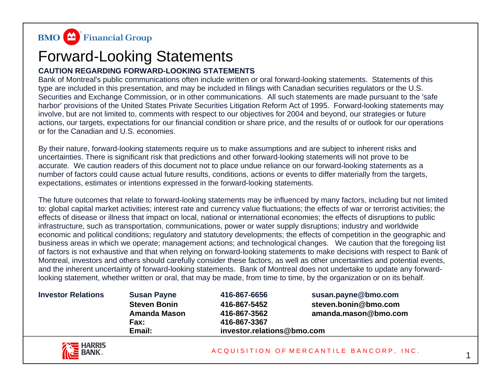

## Forward-Looking Statements

#### **CAUTION REGARDING FORWARD-LOOKING STATEMENTS**

Bank of Montreal's public communications often include written or oral forward-looking statements. Statements of this type are included in this presentation, and may be included in filings with Canadian securities regulators or the U.S. Securities and Exchange Commission, or in other communications. All such statements are made pursuant to the 'safe harbor' provisions of the United States Private Securities Litigation Reform Act of 1995. Forward-looking statements may involve, but are not limited to, comments with respect to our objectives for 2004 and beyond, our strategies or future actions, our targets, expectations for our financial condition or share price, and the results of or outlook for our operations or for the Canadian and U.S. economies.

By their nature, forward-looking statements require us to make assumptions and are subject to inherent risks and uncertainties. There is significant risk that predictions and other forward-looking statements will not prove to be accurate. We caution readers of this document not to place undue reliance on our forward-looking statements as a number of factors could cause actual future results, conditions, actions or events to differ materially from the targets, expectations, estimates or intentions expressed in the forward-looking statements.

The future outcomes that relate to forward-looking statements may be influenced by many factors, including but not limited to: global capital market activities; interest rate and currency value fluctuations; the effects of war or terrorist activities; the effects of disease or illness that impact on local, national or international economies; the effects of disruptions to public infrastructure, such as transportation, communications, power or water supply disruptions; industry and worldwide economic and political conditions; regulatory and statutory developments; the effects of competition in the geographic and business areas in which we operate; management actions; and technological changes. We caution that the foregoing list of factors is not exhaustive and that when relying on forward-looking statements to make decisions with respect to Bank of Montreal, investors and others should carefully consider these factors, as well as other uncertainties and potential events, and the inherent uncertainty of forward-looking statements. Bank of Montreal does not undertake to update any forwardlooking statement, whether written or oral, that may be made, from time to time, by the organization or on its behalf.

| <b>Investor Relations</b> | <b>Susan Payne</b>  | 416-867-6656               | susan.payne@bmo.com  |  |
|---------------------------|---------------------|----------------------------|----------------------|--|
|                           | <b>Steven Bonin</b> | 416-867-5452               | steven.bonin@bmo.com |  |
|                           | <b>Amanda Mason</b> | 416-867-3562               | amanda.mason@bmo.com |  |
|                           | Fax:                | 416-867-3367               |                      |  |
|                           | Email:              | investor.relations@bmo.com |                      |  |



1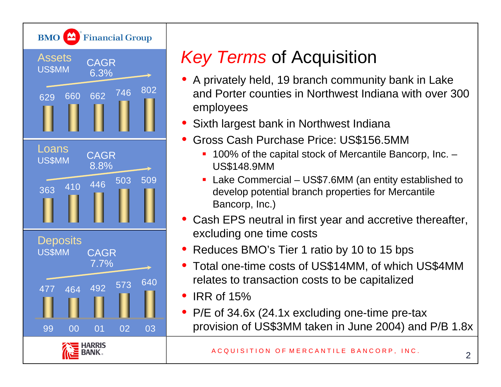

# *Key Terms* of Acquisition

- A privately held, 19 branch community bank in Lake and Porter counties in Northwest Indiana with over 300 employees
- $\bullet$ Sixth largest bank in Northwest Indiana
- • Gross Cash Purchase Price: US\$156.5MM
	- 100% of the capital stock of Mercantile Bancorp, Inc. US\$148.9MM
	- Lake Commercial US\$7.6MM (an entity established to develop potential branch properties for Mercantile Bancorp, Inc.)
- • Cash EPS neutral in first year and accretive thereafter, excluding one time costs
- •Reduces BMO's Tier 1 ratio by 10 to 15 bps
- Total one-time costs of US\$14MM, of which US\$4MM relates to transaction costs to be capitalized
- IRR of 15%
- P/E of 34.6x (24.1x excluding one-time pre-tax provision of US\$3MM taken in June 2004) and P/B 1.8x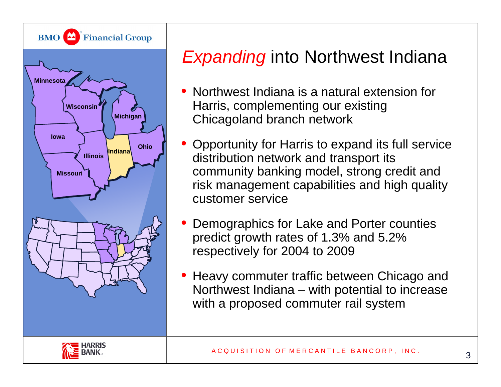

# *Expanding* into Northwest Indiana

- • Northwest Indiana is a natural extension for Harris, complementing our existing Chicagoland branch network
- • Opportunity for Harris to expand its full service distribution network and transport its community banking model, strong credit and risk management capabilities and high quality customer service
- • Demographics for Lake and Porter counties predict growth rates of 1.3% and 5.2% respectively for 2004 to 2009
- • Heavy commuter traffic between Chicago and Northwest Indiana – with potential to increase with a proposed commuter rail system

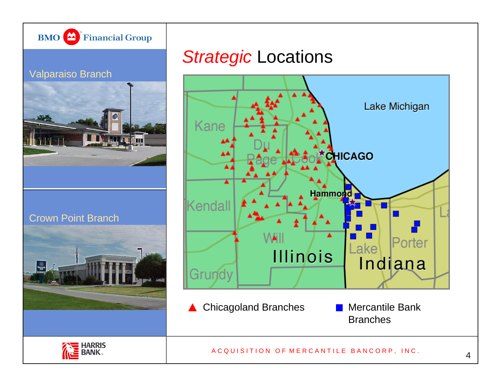

#### Valparaiso Branch



#### Crown Point Branch



## *Strategic* Locations



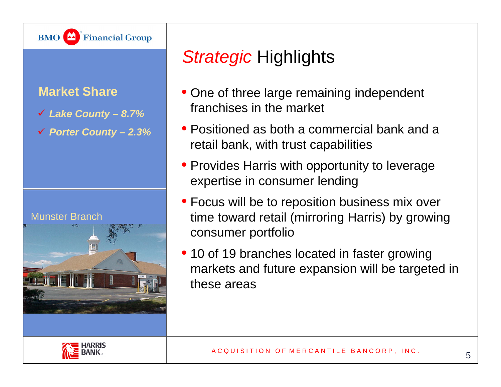

### **Market Share**

- 9 *Lake County – 8.7%*
- 9 *Porter County – 2.3%*

#### Munster Branch



# *Strategic* Highlights

- One of three large remaining independent franchises in the market
- Positioned as both a commercial bank and a retail bank, with trust capabilities
- Provides Harris with opportunity to leverage expertise in consumer lending
- Focus will be to reposition business mix over time toward retail (mirroring Harris) by growing consumer portfolio
- 10 of 19 branches located in faster growing markets and future expansion will be targeted in these areas

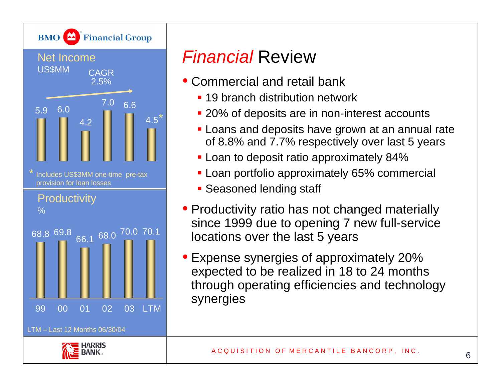

# *Financial* Review

- Commercial and retail bank
	- **19 branch distribution network**
	- **20% of deposits are in non-interest accounts**
	- **Loans and deposits have grown at an annual rate** of 8.8% and 7.7% respectively over last 5 years
	- **-** Loan to deposit ratio approximately 84%
	- **Loan portfolio approximately 65% commercial**
	- **Seasoned lending staff**
- Productivity ratio has not changed materially since 1999 due to opening 7 new full-service locations over the last 5 years
- • Expense synergies of approximately 20% expected to be realized in 18 to 24 months through operating efficiencies and technology synergies

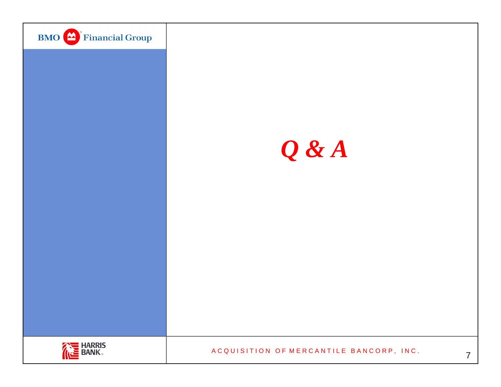